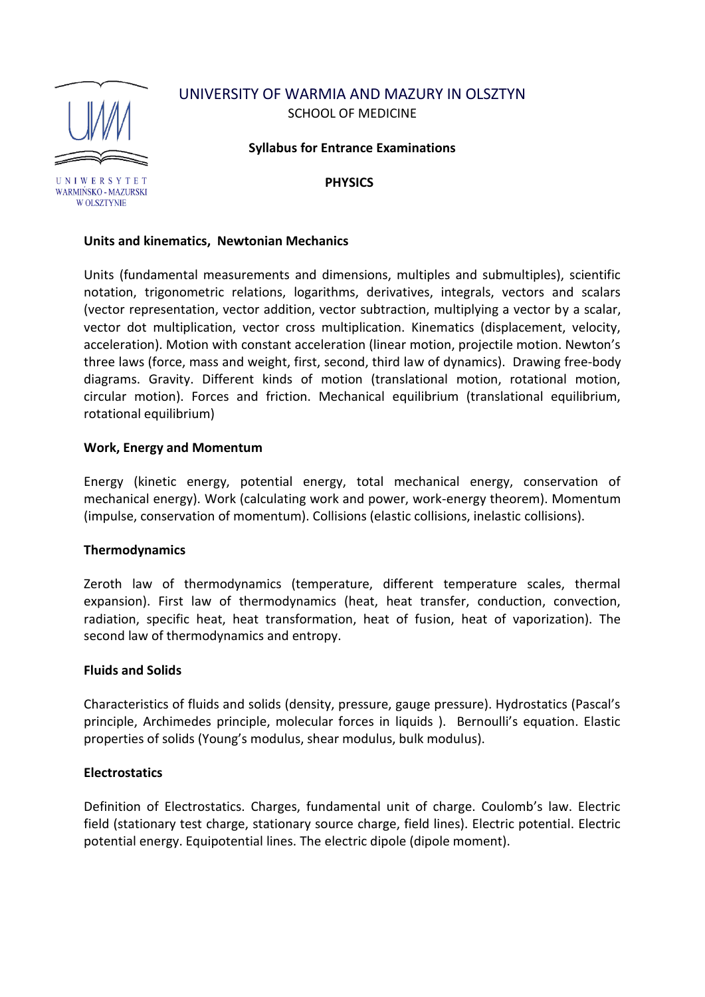# UNIVERSITY OF WARMIA AND MAZURY IN OLSZTYN SCHOOL OF MEDICINE



**Syllabus for Entrance Examinations**

**PHYSICS**

# **Units and kinematics, Newtonian Mechanics**

Units (fundamental measurements and dimensions, multiples and submultiples), scientific notation, trigonometric relations, logarithms, derivatives, integrals, vectors and scalars (vector representation, vector addition, vector subtraction, multiplying a vector by a scalar, vector dot multiplication, vector cross multiplication. Kinematics (displacement, velocity, acceleration). Motion with constant acceleration (linear motion, projectile motion. Newton's three laws (force, mass and weight, first, second, third law of dynamics). Drawing free-body diagrams. Gravity. Different kinds of motion (translational motion, rotational motion, circular motion). Forces and friction. Mechanical equilibrium (translational equilibrium, rotational equilibrium)

# **Work, Energy and Momentum**

Energy (kinetic energy, potential energy, total mechanical energy, conservation of mechanical energy). Work (calculating work and power, work-energy theorem). Momentum (impulse, conservation of momentum). Collisions (elastic collisions, inelastic collisions).

## **Thermodynamics**

Zeroth law of thermodynamics (temperature, different temperature scales, thermal expansion). First law of thermodynamics (heat, heat transfer, conduction, convection, radiation, specific heat, heat transformation, heat of fusion, heat of vaporization). The second law of thermodynamics and entropy.

## **Fluids and Solids**

Characteristics of fluids and solids (density, pressure, gauge pressure). Hydrostatics (Pascal's principle, Archimedes principle, molecular forces in liquids ). Bernoulli's equation. Elastic properties of solids (Young's modulus, shear modulus, bulk modulus).

## **Electrostatics**

Definition of Electrostatics. Charges, fundamental unit of charge. Coulomb's law. Electric field (stationary test charge, stationary source charge, field lines). Electric potential. Electric potential energy. Equipotential lines. The electric dipole (dipole moment).